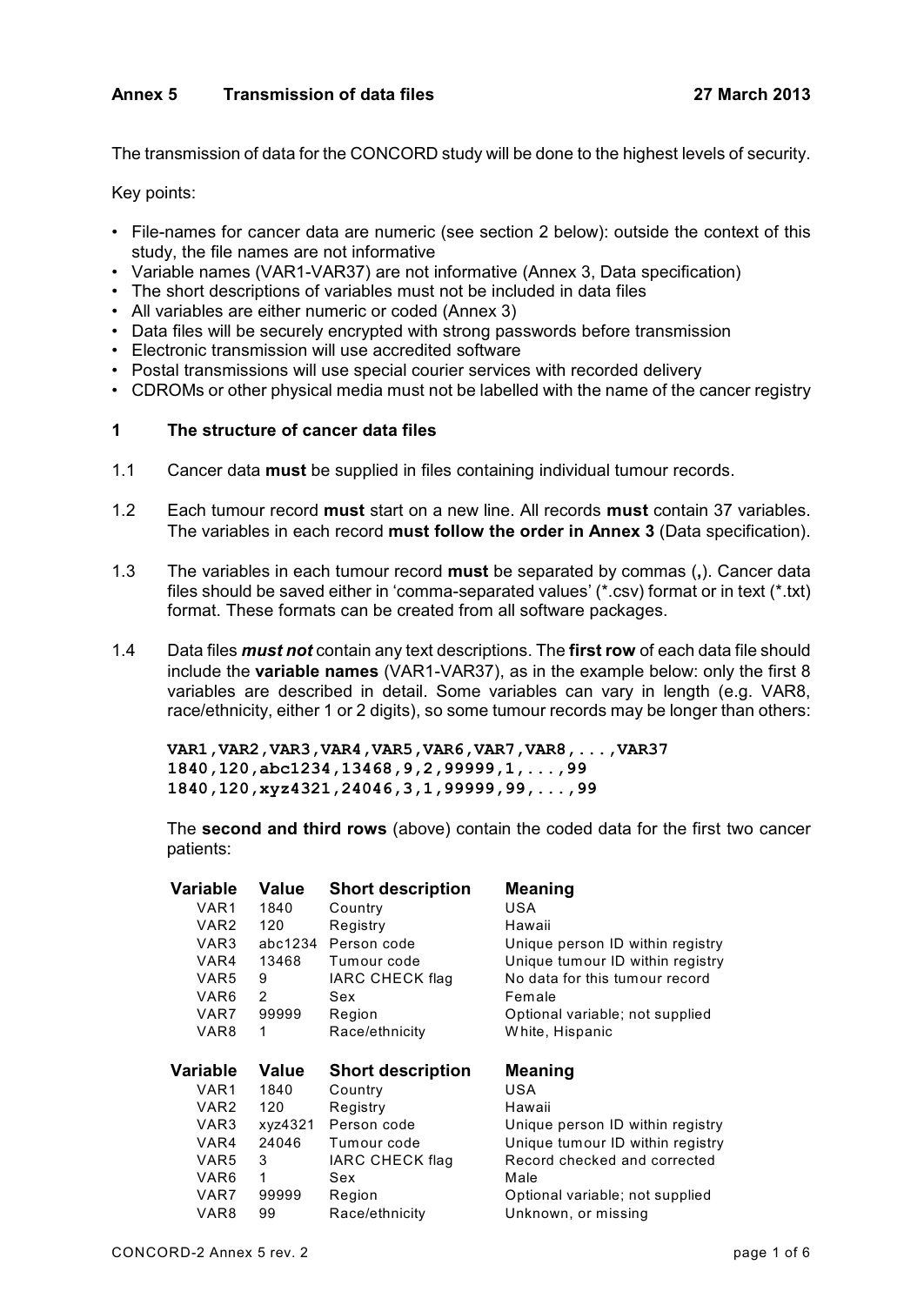# **Annex 5 Transmission of data files 27 March 2013**

The transmission of data for the CONCORD study will be done to the highest levels of security.

Key points:

- File-names for cancer data are numeric (see section 2 below): outside the context of this study, the file names are not informative
- Variable names (VAR1-VAR37) are not informative (Annex 3, Data specification)
- The short descriptions of variables must not be included in data files
- All variables are either numeric or coded (Annex 3)
- Data files will be securely encrypted with strong passwords before transmission
- Electronic transmission will use accredited software
- Postal transmissions will use special courier services with recorded delivery
- CDROMs or other physical media must not be labelled with the name of the cancer registry

### **1 The structure of cancer data files**

- 1.1 Cancer data **must** be supplied in files containing individual tumour records.
- 1.2 Each tumour record **must** start on a new line. All records **must** contain 37 variables. The variables in each record **must follow the order in Annex 3** (Data specification).
- 1.3 The variables in each tumour record **must** be separated by commas (**,**). Cancer data files should be saved either in 'comma-separated values' (\*.csv) format or in text (\*.txt) format. These formats can be created from all software packages.
- 1.4 Data files *must not* contain any text descriptions. The **first row** of each data file should include the **variable names** (VAR1-VAR37), as in the example below: only the first 8 variables are described in detail. Some variables can vary in length (e.g. VAR8, race/ethnicity, either 1 or 2 digits), so some tumour records may be longer than others:

**VAR1,VAR2,VAR3,VAR4,VAR5,VAR6,VAR7,VAR8,...,VAR37 1840,120,abc1234,13468,9,2,99999,1,...,99 1840,120,xyz4321,24046,3,1,99999,99,...,99**

The **second and third rows** (above) contain the coded data for the first two cancer patients:

| Variable | Value   | <b>Short description</b> | <b>Meaning</b>                   |
|----------|---------|--------------------------|----------------------------------|
| VAR1     | 1840    | Country                  | USA                              |
| VAR2     | 120     | Registry                 | Hawaii                           |
| VAR3     | abc1234 | Person code              | Unique person ID within registry |
| VAR4     | 13468   | Tumour code              | Unique tumour ID within registry |
| VAR5     | 9       | <b>IARC CHECK flag</b>   | No data for this tumour record   |
| VAR6     | 2       | Sex                      | Female                           |
| VAR7     | 99999   | Region                   | Optional variable; not supplied  |
| VAR8     | 1       | Race/ethnicity           | White, Hispanic                  |
|          |         |                          |                                  |
|          |         |                          |                                  |
| Variable | Value   | <b>Short description</b> | <b>Meaning</b>                   |
| VAR1     | 1840    | Country                  | USA                              |
| VAR2     | 120     | Registry                 | Hawaii                           |
| VAR3     | xyz4321 | Person code              | Unique person ID within registry |
| VAR4     | 24046   | Tumour code              | Unique tumour ID within registry |
| VAR5     | 3       | <b>IARC CHECK flag</b>   | Record checked and corrected     |
| VAR6     | 1       | Sex                      | Male                             |
| VAR7     | 99999   | Region                   | Optional variable; not supplied  |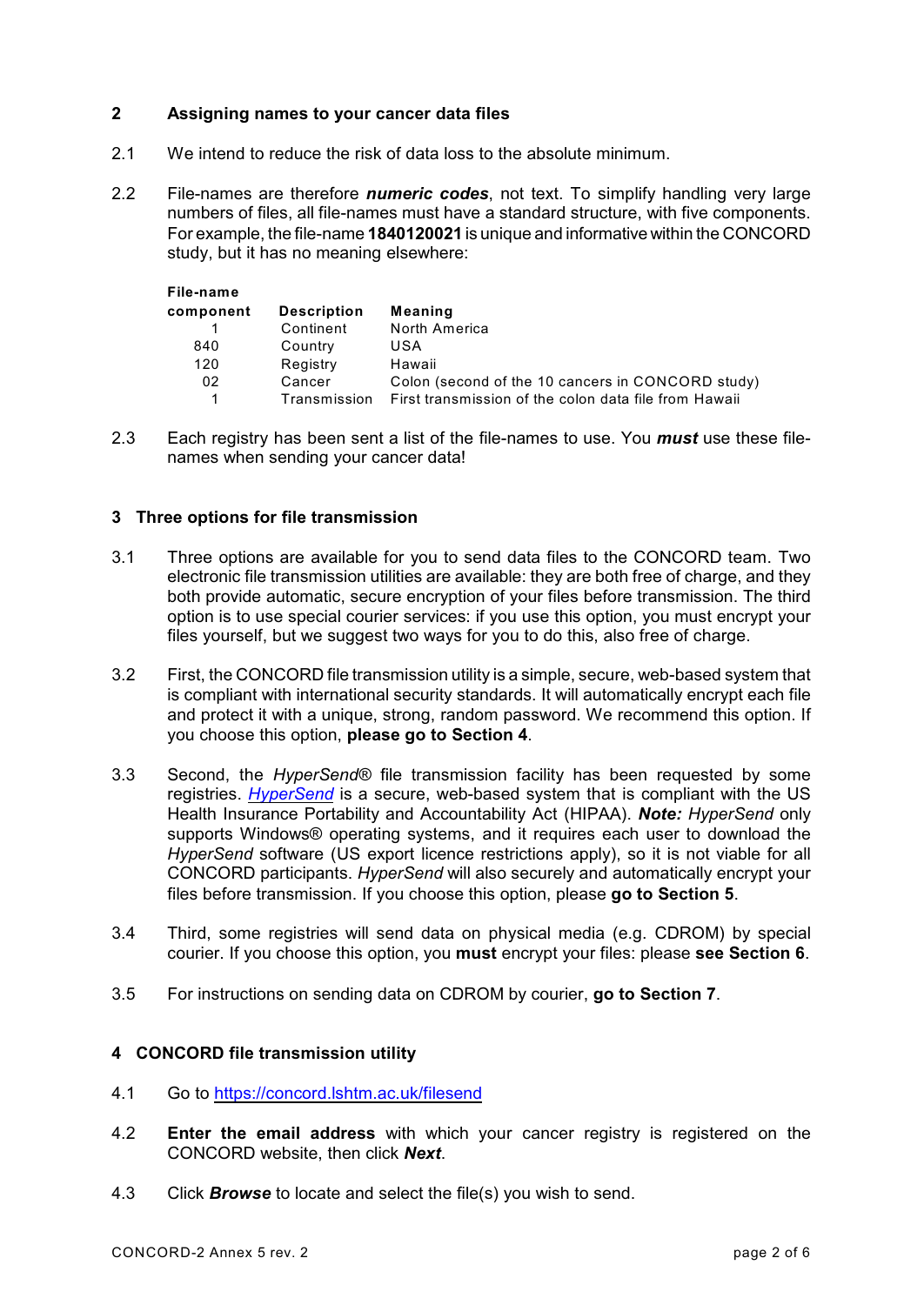# **2 Assigning names to your cancer data files**

- 2.1 We intend to reduce the risk of data loss to the absolute minimum.
- 2.2 File-names are therefore *numeric codes*, not text. To simplify handling very large numbers of files, all file-names must have a standard structure, with five components. For example, the file-name **1840120021** is unique and informative within the CONCORD study, but it has no meaning elsewhere:

| File-name |                    |                                                       |
|-----------|--------------------|-------------------------------------------------------|
| component | <b>Description</b> | Meaning                                               |
|           | Continent          | North America                                         |
| 840       | Country            | USA                                                   |
| 120       | Registry           | Hawaii                                                |
| 02        | Cancer             | Colon (second of the 10 cancers in CONCORD study)     |
|           | Transmission       | First transmission of the colon data file from Hawaii |

2.3 Each registry has been sent a list of the file-names to use. You *must* use these filenames when sending your cancer data!

## **3 Three options for file transmission**

- 3.1 Three options are available for you to send data files to the CONCORD team. Two electronic file transmission utilities are available: they are both free of charge, and they both provide automatic, secure encryption of your files before transmission. The third option is to use special courier services: if you use this option, you must encrypt your files yourself, but we suggest two ways for you to do this, also free of charge.
- 3.2 First, the CONCORD file transmission utility is a simple, secure, web-based system that is compliant with international security standards. It will automatically encrypt each file and protect it with a unique, strong, random password. We recommend this option. If you choose this option, **please go to Section 4**.
- 3.3 Second, the *HyperSend®* file transmission facility has been requested by some registries. *[HyperSend](http://www.hypersend.com/HyperSend/Model/Home/Welcome/Entry)* is a secure, web-based system that is compliant with the US Health Insurance Portability and Accountability Act (HIPAA). *Note: HyperSend* only supports Windows® operating systems, and it requires each user to download the *HyperSend* software (US export licence restrictions apply), so it is not viable for all CONCORD participants. *HyperSend* will also securely and automatically encrypt your files before transmission. If you choose this option, please **go to Section 5**.
- 3.4 Third, some registries will send data on physical media (e.g. CDROM) by special courier. If you choose this option, you **must** encrypt your files: please **see Section 6**.
- 3.5 For instructions on sending data on CDROM by courier, **go to Section 7**.

### **4 CONCORD file transmission utility**

- 4.1 Go to [https://concord.lshtm.ac.uk/filesend](https://concord.lshtm.ac.uk/filesend/)
- 4.2 **Enter the email address** with which your cancer registry is registered on the CONCORD website, then click *Next*.
- 4.3 Click *Browse* to locate and select the file(s) you wish to send.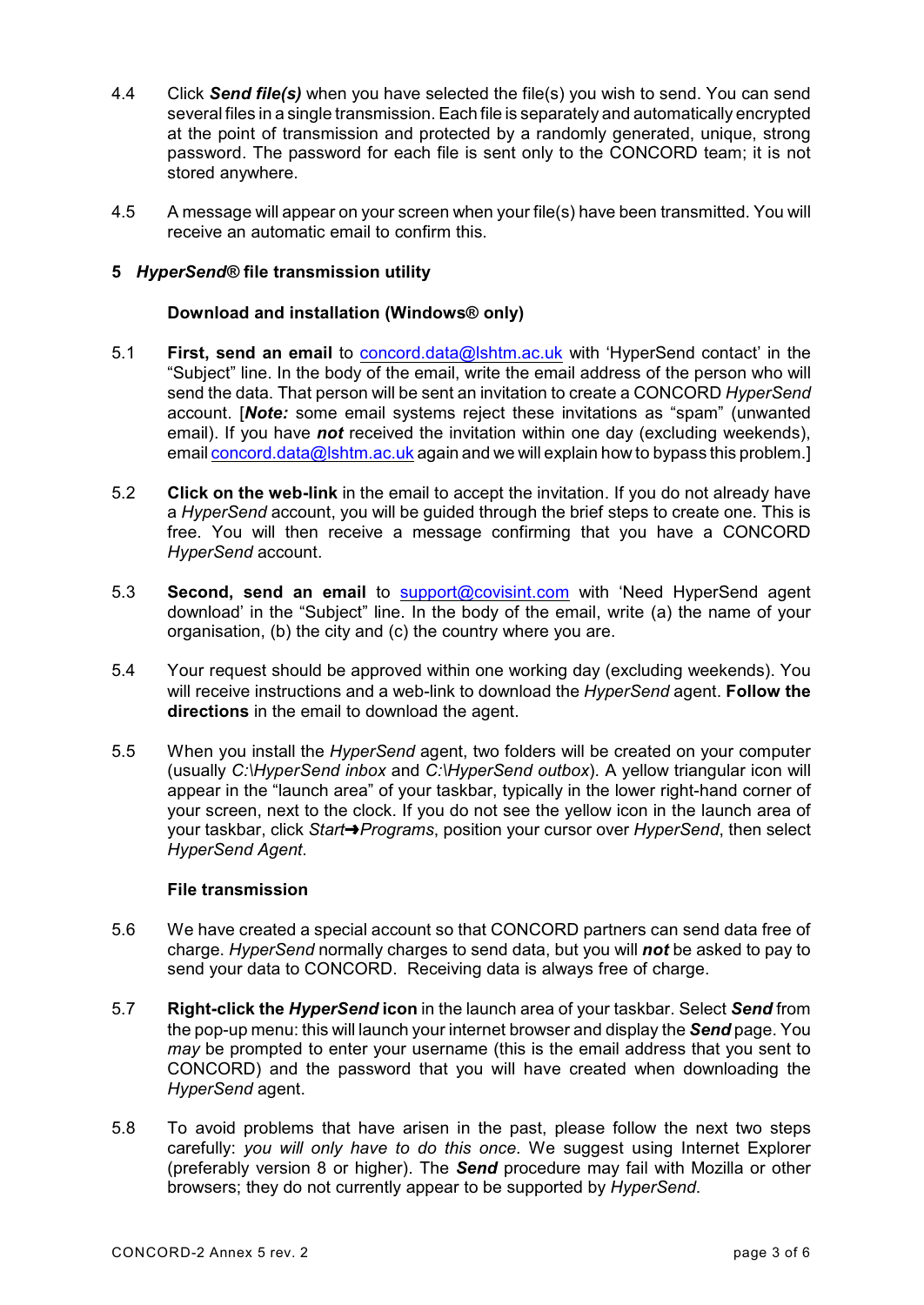- 4.4 Click *Send file(s)* when you have selected the file(s) you wish to send. You can send several files in a single transmission. Each file is separately and automatically encrypted at the point of transmission and protected by a randomly generated, unique, strong password. The password for each file is sent only to the CONCORD team; it is not stored anywhere.
- 4.5 A message will appear on your screen when your file(s) have been transmitted. You will receive an automatic email to confirm this.

# **5** *HyperSend®* **file transmission utility**

### **Download and installation (Windows® only)**

- 5.1 **First, send an email** to [concord.data@lshtm.ac.uk](mailto:concord.data@lshtm.ac.uk) with 'HyperSend contact' in the "Subject" line. In the body of the email, write the email address of the person who will send the data. That person will be sent an invitation to create a CONCORD *HyperSend* account. [*Note:* some email systems reject these invitations as "spam" (unwanted email). If you have *not* received the invitation within one day (excluding weekends), email [concord.data@lshtm.ac.uk](mailto:concord.data@lshtm.ac.uk) again and we will explain how to bypass this problem.]
- 5.2 **Click on the web-link** in the email to accept the invitation. If you do not already have a *HyperSend* account, you will be guided through the brief steps to create one. This is free. You will then receive a message confirming that you have a CONCORD *HyperSend* account.
- 5.3 **Second, send an email** to [support@covisint.com](mailto:support@covisint.com) with 'Need HyperSend agent download' in the "Subject" line. In the body of the email, write (a) the name of your organisation, (b) the city and (c) the country where you are.
- 5.4 Your request should be approved within one working day (excluding weekends). You will receive instructions and a web-link to download the *HyperSend* agent. **Follow the directions** in the email to download the agent.
- 5.5 When you install the *HyperSend* agent, two folders will be created on your computer (usually *C:\HyperSend inbox* and *C:\HyperSend outbox*). A yellow triangular icon will appear in the "launch area" of your taskbar, typically in the lower right-hand corner of your screen, next to the clock. If you do not see the yellow icon in the launch area of your taskbar, click *StartºPrograms*, position your cursor over *HyperSend*, then select *HyperSend Agent*.

### **File transmission**

- 5.6 We have created a special account so that CONCORD partners can send data free of charge. *HyperSend* normally charges to send data, but you will *not* be asked to pay to send your data to CONCORD. Receiving data is always free of charge.
- 5.7 **Right-click the** *HyperSend* **icon** in the launch area of your taskbar. Select *Send* from the pop-up menu: this will launch your internet browser and display the *Send* page. You *may* be prompted to enter your username (this is the email address that you sent to CONCORD) and the password that you will have created when downloading the *HyperSend* agent.
- 5.8 To avoid problems that have arisen in the past, please follow the next two steps carefully: *you will only have to do this once*. We suggest using Internet Explorer (preferably version 8 or higher). The *Send* procedure may fail with Mozilla or other browsers; they do not currently appear to be supported by *HyperSend*.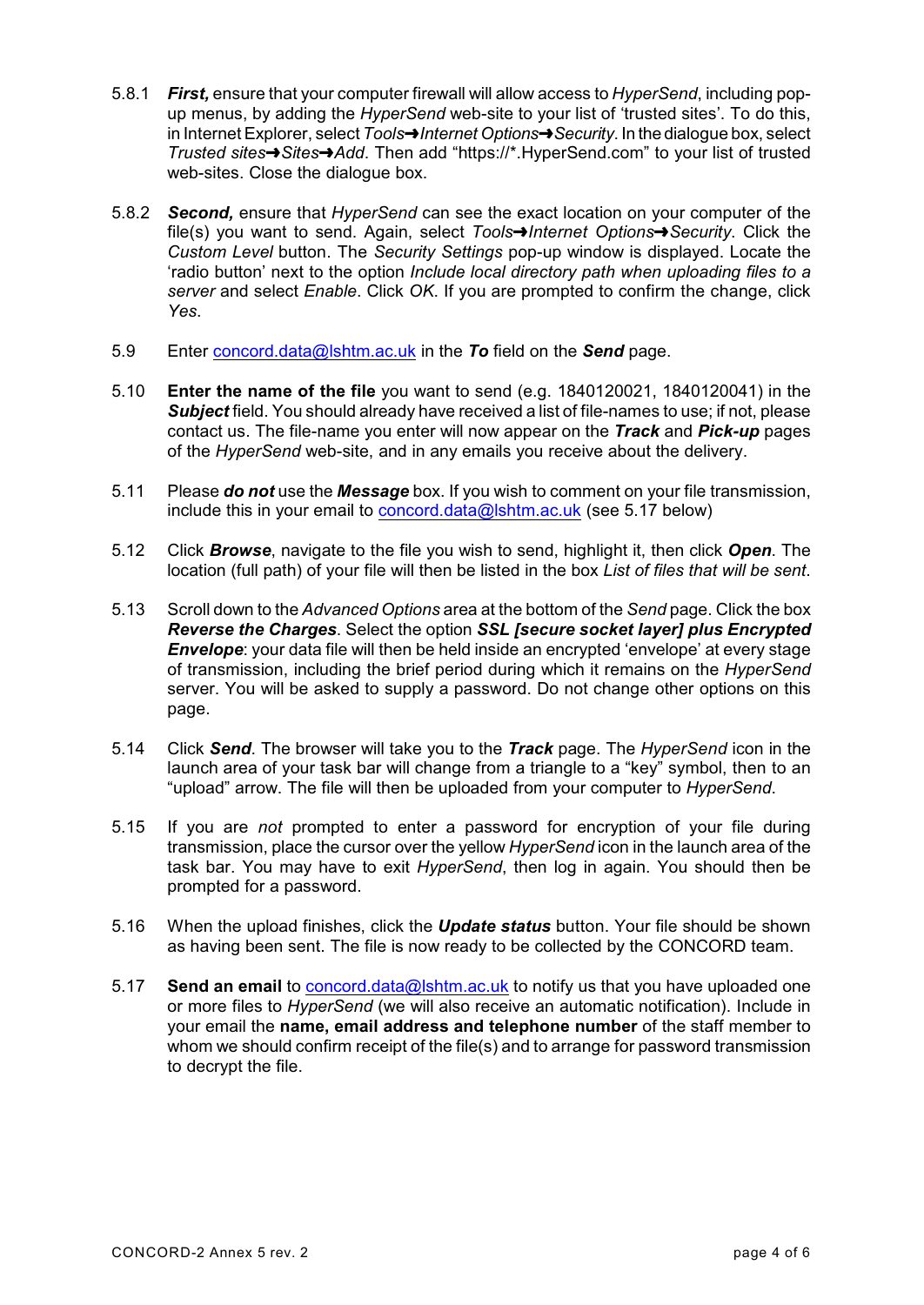- 5.8.1 *First,* ensure that your computer firewall will allow access to *HyperSend*, including popup menus, by adding the *HyperSend* web-site to your list of 'trusted sites'. To do this, in Internet Explorer, select *ToolsºInternet OptionsºSecurity*. In the dialogue box, select *Trusted sitesºSitesºAdd*. Then add "https://\*.HyperSend.com" to your list of trusted web-sites. Close the dialogue box.
- 5.8.2 *Second,* ensure that *HyperSend* can see the exact location on your computer of the file(s) you want to send. Again, select *ToolsºInternet OptionsºSecurity*. Click the *Custom Level* button. The *Security Settings* pop-up window is displayed. Locate the 'radio button' next to the option *Include local directory path when uploading files to a server* and select *Enable*. Click *OK*. If you are prompted to confirm the change, click *Yes*.
- 5.9 Enter [concord.data@lshtm.ac.uk](mailto:concord.data@lshtm.ac.uk) in the *To* field on the *Send* page.
- 5.10 **Enter the name of the file** you want to send (e.g. 1840120021, 1840120041) in the *Subject* field. You should already have received a list of file-names to use; if not, please contact us. The file-name you enter will now appear on the *Track* and *Pick-up* pages of the *HyperSend* web-site, and in any emails you receive about the delivery.
- 5.11 Please *do not* use the *Message* box. If you wish to comment on your file transmission, include this in your email to [concord.data@lshtm.ac.uk](mailto:concord.data@lshtm.ac.uk) (see 5.17 below)
- 5.12 Click *Browse*, navigate to the file you wish to send, highlight it, then click *Open*. The location (full path) of your file will then be listed in the box *List of files that will be sent*.
- 5.13 Scroll down to the *Advanced Options* area at the bottom of the *Send* page. Click the box *Reverse the Charges*. Select the option *SSL [secure socket layer] plus Encrypted* **Envelope**: your data file will then be held inside an encrypted 'envelope' at every stage of transmission, including the brief period during which it remains on the *HyperSend* server. You will be asked to supply a password. Do not change other options on this page.
- 5.14 Click *Send*. The browser will take you to the *Track* page. The *HyperSend* icon in the launch area of your task bar will change from a triangle to a "key" symbol, then to an "upload" arrow. The file will then be uploaded from your computer to *HyperSend*.
- 5.15 If you are *not* prompted to enter a password for encryption of your file during transmission, place the cursor over the yellow *HyperSend* icon in the launch area of the task bar. You may have to exit *HyperSend*, then log in again. You should then be prompted for a password.
- 5.16 When the upload finishes, click the *Update status* button. Your file should be shown as having been sent. The file is now ready to be collected by the CONCORD team.
- 5.17 **Send an email** to [concord.data@lshtm.ac.uk](mailto:concord.data@lshtm.ac.uk) to notify us that you have uploaded one or more files to *HyperSend* (we will also receive an automatic notification). Include in your email the **name, email address and telephone number** of the staff member to whom we should confirm receipt of the file(s) and to arrange for password transmission to decrypt the file.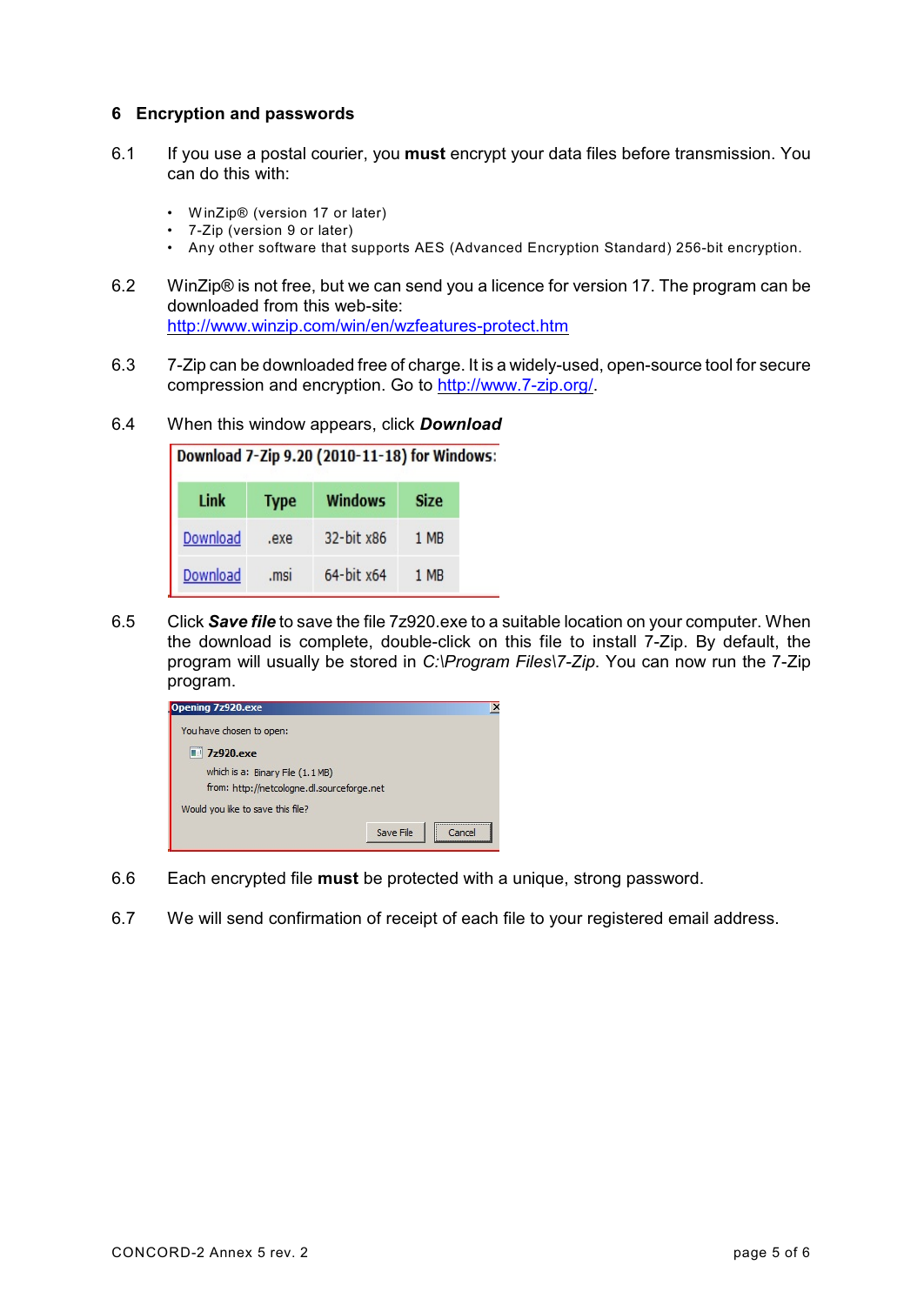# **6 Encryption and passwords**

- 6.1 If you use a postal courier, you **must** encrypt your data files before transmission. You can do this with:
	- WinZip® (version 17 or later)
	- 7-Zip (version 9 or later)
	- Any other software that supports AES (Advanced Encryption Standard) 256-bit encryption.
- 6.2 WinZip® is not free, but we can send you a licence for version 17. The program can be downloaded from this web-site: <http://www.winzip.com/win/en/wzfeatures-protect.htm>
- 6.3 7-Zip can be downloaded free of charge. It is a widely-used, open-source tool for secure compression and encryption. Go to<http://www.7-zip.org/>.
- 6.4 When this window appears, click *Download*

| Download 7-Zip 9.20 (2010-11-18) for Windo |             |                |             |  |  |  |  |
|--------------------------------------------|-------------|----------------|-------------|--|--|--|--|
| Link                                       | <b>Type</b> | <b>Windows</b> | <b>Size</b> |  |  |  |  |
| Download                                   | .exe        | 32-bit x86     | 1 MB        |  |  |  |  |
| Download                                   | .msi        | 64-bit x64     | 1 MB        |  |  |  |  |

6.5 Click *Save file* to save the file 7z920.exe to a suitable location on your computer. When the download is complete, double-click on this file to install 7-Zip. By default, the program will usually be stored in *C:\Program Files\7-Zip*. You can now run the 7-Zip program.



- 6.6 Each encrypted file **must** be protected with a unique, strong password.
- 6.7 We will send confirmation of receipt of each file to your registered email address.